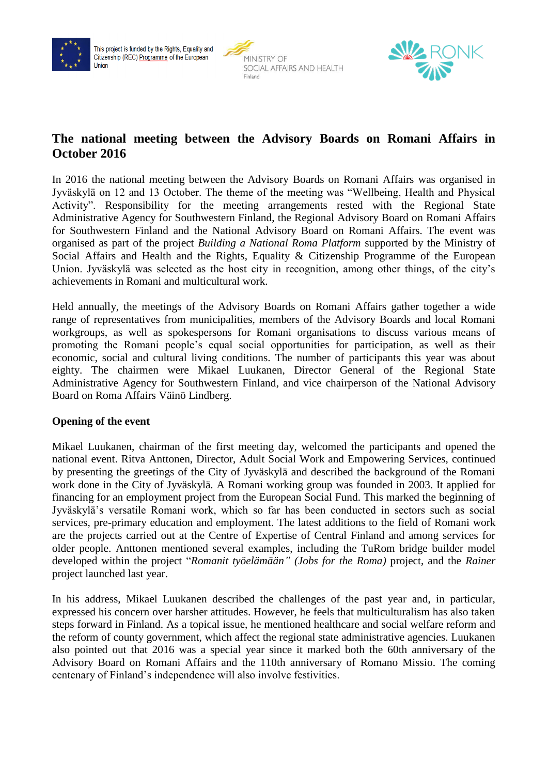





# **The national meeting between the Advisory Boards on Romani Affairs in October 2016**

In 2016 the national meeting between the Advisory Boards on Romani Affairs was organised in Jyväskylä on 12 and 13 October. The theme of the meeting was "Wellbeing, Health and Physical Activity". Responsibility for the meeting arrangements rested with the Regional State Administrative Agency for Southwestern Finland, the Regional Advisory Board on Romani Affairs for Southwestern Finland and the National Advisory Board on Romani Affairs. The event was organised as part of the project *Building a National Roma Platform* supported by the Ministry of Social Affairs and Health and the Rights, Equality & Citizenship Programme of the European Union. Jyväskylä was selected as the host city in recognition, among other things, of the city's achievements in Romani and multicultural work.

Held annually, the meetings of the Advisory Boards on Romani Affairs gather together a wide range of representatives from municipalities, members of the Advisory Boards and local Romani workgroups, as well as spokespersons for Romani organisations to discuss various means of promoting the Romani people's equal social opportunities for participation, as well as their economic, social and cultural living conditions. The number of participants this year was about eighty. The chairmen were Mikael Luukanen, Director General of the Regional State Administrative Agency for Southwestern Finland, and vice chairperson of the National Advisory Board on Roma Affairs Väinö Lindberg.

### **Opening of the event**

Mikael Luukanen, chairman of the first meeting day, welcomed the participants and opened the national event. Ritva Anttonen, Director, Adult Social Work and Empowering Services, continued by presenting the greetings of the City of Jyväskylä and described the background of the Romani work done in the City of Jyväskylä. A Romani working group was founded in 2003. It applied for financing for an employment project from the European Social Fund. This marked the beginning of Jyväskylä's versatile Romani work, which so far has been conducted in sectors such as social services, pre-primary education and employment. The latest additions to the field of Romani work are the projects carried out at the Centre of Expertise of Central Finland and among services for older people. Anttonen mentioned several examples, including the TuRom bridge builder model developed within the project "*Romanit työelämään" (Jobs for the Roma)* project, and the *Rainer* project launched last year.

In his address, Mikael Luukanen described the challenges of the past year and, in particular, expressed his concern over harsher attitudes. However, he feels that multiculturalism has also taken steps forward in Finland. As a topical issue, he mentioned healthcare and social welfare reform and the reform of county government, which affect the regional state administrative agencies. Luukanen also pointed out that 2016 was a special year since it marked both the 60th anniversary of the Advisory Board on Romani Affairs and the 110th anniversary of Romano Missio. The coming centenary of Finland's independence will also involve festivities.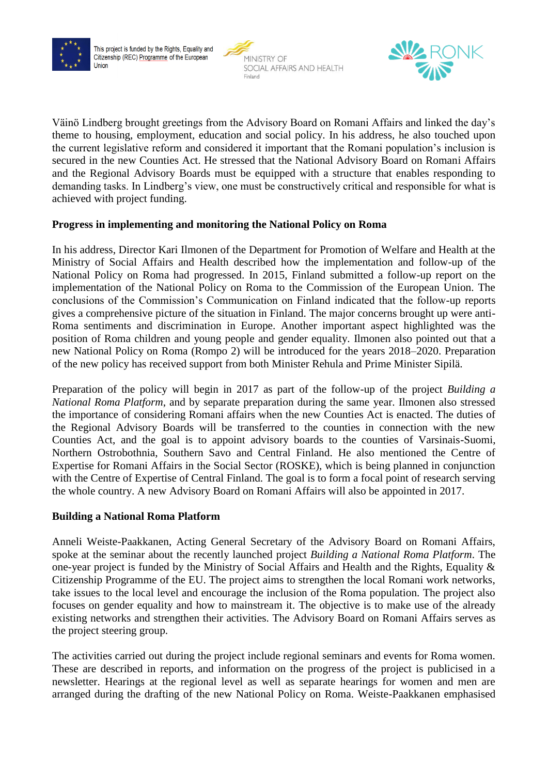





Väinö Lindberg brought greetings from the Advisory Board on Romani Affairs and linked the day's theme to housing, employment, education and social policy. In his address, he also touched upon the current legislative reform and considered it important that the Romani population's inclusion is secured in the new Counties Act. He stressed that the National Advisory Board on Romani Affairs and the Regional Advisory Boards must be equipped with a structure that enables responding to demanding tasks. In Lindberg's view, one must be constructively critical and responsible for what is achieved with project funding.

### **Progress in implementing and monitoring the National Policy on Roma**

In his address, Director Kari Ilmonen of the Department for Promotion of Welfare and Health at the Ministry of Social Affairs and Health described how the implementation and follow-up of the National Policy on Roma had progressed. In 2015, Finland submitted a follow-up report on the implementation of the National Policy on Roma to the Commission of the European Union. The conclusions of the Commission's Communication on Finland indicated that the follow-up reports gives a comprehensive picture of the situation in Finland. The major concerns brought up were anti-Roma sentiments and discrimination in Europe. Another important aspect highlighted was the position of Roma children and young people and gender equality. Ilmonen also pointed out that a new National Policy on Roma (Rompo 2) will be introduced for the years 2018–2020. Preparation of the new policy has received support from both Minister Rehula and Prime Minister Sipilä.

Preparation of the policy will begin in 2017 as part of the follow-up of the project *Building a National Roma Platform*, and by separate preparation during the same year. Ilmonen also stressed the importance of considering Romani affairs when the new Counties Act is enacted. The duties of the Regional Advisory Boards will be transferred to the counties in connection with the new Counties Act, and the goal is to appoint advisory boards to the counties of Varsinais-Suomi, Northern Ostrobothnia, Southern Savo and Central Finland. He also mentioned the Centre of Expertise for Romani Affairs in the Social Sector (ROSKE), which is being planned in conjunction with the Centre of Expertise of Central Finland. The goal is to form a focal point of research serving the whole country. A new Advisory Board on Romani Affairs will also be appointed in 2017.

### **Building a National Roma Platform**

Anneli Weiste-Paakkanen, Acting General Secretary of the Advisory Board on Romani Affairs, spoke at the seminar about the recently launched project *Building a National Roma Platform*. The one-year project is funded by the Ministry of Social Affairs and Health and the Rights, Equality & Citizenship Programme of the EU. The project aims to strengthen the local Romani work networks, take issues to the local level and encourage the inclusion of the Roma population. The project also focuses on gender equality and how to mainstream it. The objective is to make use of the already existing networks and strengthen their activities. The Advisory Board on Romani Affairs serves as the project steering group.

The activities carried out during the project include regional seminars and events for Roma women. These are described in reports, and information on the progress of the project is publicised in a newsletter. Hearings at the regional level as well as separate hearings for women and men are arranged during the drafting of the new National Policy on Roma. Weiste-Paakkanen emphasised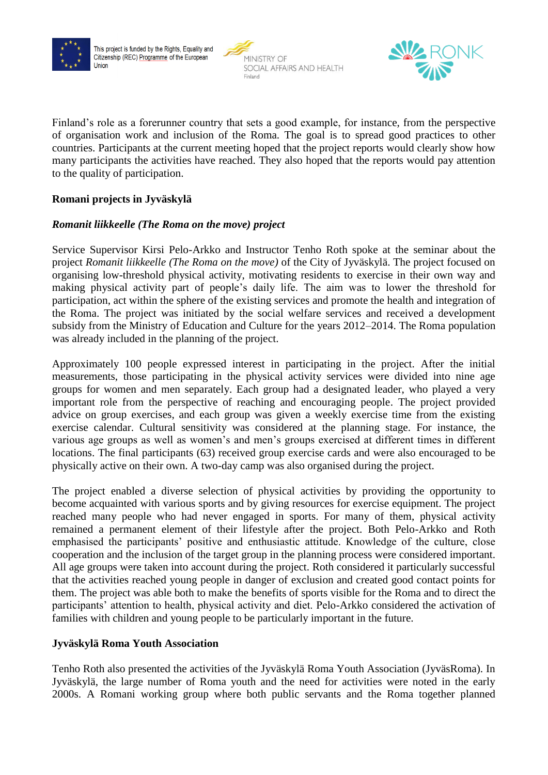





Finland's role as a forerunner country that sets a good example, for instance, from the perspective of organisation work and inclusion of the Roma. The goal is to spread good practices to other countries. Participants at the current meeting hoped that the project reports would clearly show how many participants the activities have reached. They also hoped that the reports would pay attention to the quality of participation.

### **Romani projects in Jyväskylä**

### *Romanit liikkeelle (The Roma on the move) project*

Service Supervisor Kirsi Pelo-Arkko and Instructor Tenho Roth spoke at the seminar about the project *Romanit liikkeelle (The Roma on the move)* of the City of Jyväskylä. The project focused on organising low-threshold physical activity, motivating residents to exercise in their own way and making physical activity part of people's daily life. The aim was to lower the threshold for participation, act within the sphere of the existing services and promote the health and integration of the Roma. The project was initiated by the social welfare services and received a development subsidy from the Ministry of Education and Culture for the years 2012–2014. The Roma population was already included in the planning of the project.

Approximately 100 people expressed interest in participating in the project. After the initial measurements, those participating in the physical activity services were divided into nine age groups for women and men separately. Each group had a designated leader, who played a very important role from the perspective of reaching and encouraging people. The project provided advice on group exercises, and each group was given a weekly exercise time from the existing exercise calendar. Cultural sensitivity was considered at the planning stage. For instance, the various age groups as well as women's and men's groups exercised at different times in different locations. The final participants (63) received group exercise cards and were also encouraged to be physically active on their own. A two-day camp was also organised during the project.

The project enabled a diverse selection of physical activities by providing the opportunity to become acquainted with various sports and by giving resources for exercise equipment. The project reached many people who had never engaged in sports. For many of them, physical activity remained a permanent element of their lifestyle after the project. Both Pelo-Arkko and Roth emphasised the participants' positive and enthusiastic attitude. Knowledge of the culture, close cooperation and the inclusion of the target group in the planning process were considered important. All age groups were taken into account during the project. Roth considered it particularly successful that the activities reached young people in danger of exclusion and created good contact points for them. The project was able both to make the benefits of sports visible for the Roma and to direct the participants' attention to health, physical activity and diet. Pelo-Arkko considered the activation of families with children and young people to be particularly important in the future.

#### **Jyväskylä Roma Youth Association**

Tenho Roth also presented the activities of the Jyväskylä Roma Youth Association (JyväsRoma). In Jyväskylä, the large number of Roma youth and the need for activities were noted in the early 2000s. A Romani working group where both public servants and the Roma together planned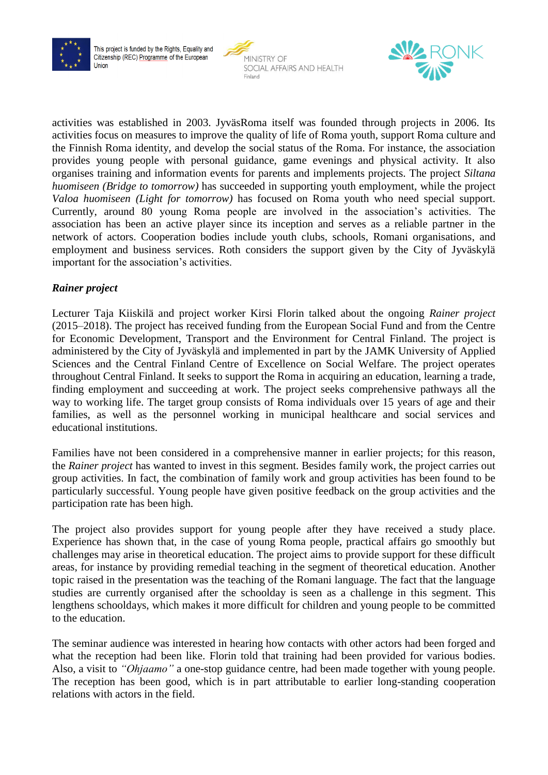





activities was established in 2003. JyväsRoma itself was founded through projects in 2006. Its activities focus on measures to improve the quality of life of Roma youth, support Roma culture and the Finnish Roma identity, and develop the social status of the Roma. For instance, the association provides young people with personal guidance, game evenings and physical activity. It also organises training and information events for parents and implements projects. The project *Siltana huomiseen (Bridge to tomorrow)* has succeeded in supporting youth employment, while the project *Valoa huomiseen (Light for tomorrow)* has focused on Roma youth who need special support. Currently, around 80 young Roma people are involved in the association's activities. The association has been an active player since its inception and serves as a reliable partner in the network of actors. Cooperation bodies include youth clubs, schools, Romani organisations, and employment and business services. Roth considers the support given by the City of Jyväskylä important for the association's activities.

### *Rainer project*

Lecturer Taja Kiiskilä and project worker Kirsi Florin talked about the ongoing *Rainer project* (2015–2018). The project has received funding from the European Social Fund and from the Centre for Economic Development, Transport and the Environment for Central Finland. The project is administered by the City of Jyväskylä and implemented in part by the JAMK University of Applied Sciences and the Central Finland Centre of Excellence on Social Welfare. The project operates throughout Central Finland. It seeks to support the Roma in acquiring an education, learning a trade, finding employment and succeeding at work. The project seeks comprehensive pathways all the way to working life. The target group consists of Roma individuals over 15 years of age and their families, as well as the personnel working in municipal healthcare and social services and educational institutions.

Families have not been considered in a comprehensive manner in earlier projects; for this reason, the *Rainer project* has wanted to invest in this segment. Besides family work, the project carries out group activities. In fact, the combination of family work and group activities has been found to be particularly successful. Young people have given positive feedback on the group activities and the participation rate has been high.

The project also provides support for young people after they have received a study place. Experience has shown that, in the case of young Roma people, practical affairs go smoothly but challenges may arise in theoretical education. The project aims to provide support for these difficult areas, for instance by providing remedial teaching in the segment of theoretical education. Another topic raised in the presentation was the teaching of the Romani language. The fact that the language studies are currently organised after the schoolday is seen as a challenge in this segment. This lengthens schooldays, which makes it more difficult for children and young people to be committed to the education.

The seminar audience was interested in hearing how contacts with other actors had been forged and what the reception had been like. Florin told that training had been provided for various bodies. Also, a visit to *"Ohjaamo"* a one-stop guidance centre, had been made together with young people. The reception has been good, which is in part attributable to earlier long-standing cooperation relations with actors in the field.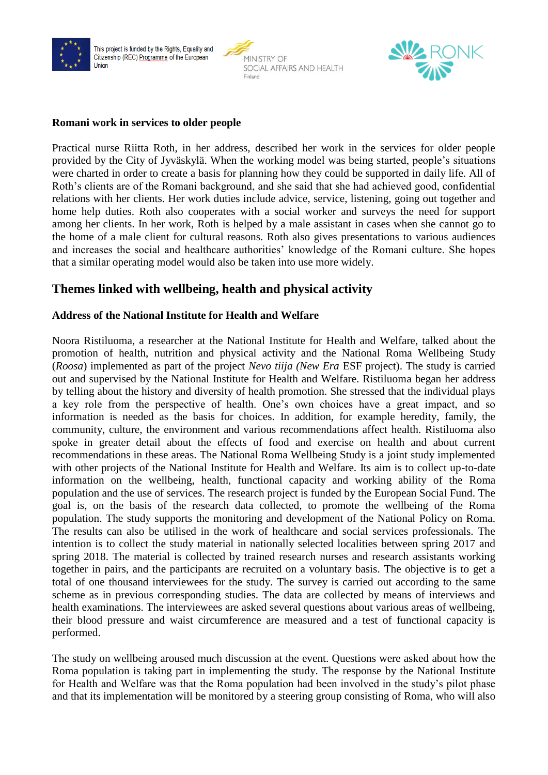

This project is funded by the Rights, Equality and Citizenship (REC) Programme of the European Union



Ĭ.



#### **Romani work in services to older people**

Practical nurse Riitta Roth, in her address, described her work in the services for older people provided by the City of Jyväskylä. When the working model was being started, people's situations were charted in order to create a basis for planning how they could be supported in daily life. All of Roth's clients are of the Romani background, and she said that she had achieved good, confidential relations with her clients. Her work duties include advice, service, listening, going out together and home help duties. Roth also cooperates with a social worker and surveys the need for support among her clients. In her work, Roth is helped by a male assistant in cases when she cannot go to the home of a male client for cultural reasons. Roth also gives presentations to various audiences and increases the social and healthcare authorities' knowledge of the Romani culture. She hopes that a similar operating model would also be taken into use more widely.

# **Themes linked with wellbeing, health and physical activity**

#### **Address of the National Institute for Health and Welfare**

Noora Ristiluoma, a researcher at the National Institute for Health and Welfare, talked about the promotion of health, nutrition and physical activity and the National Roma Wellbeing Study (*Roosa*) implemented as part of the project *Nevo tiija (New Era* ESF project). The study is carried out and supervised by the National Institute for Health and Welfare. Ristiluoma began her address by telling about the history and diversity of health promotion. She stressed that the individual plays a key role from the perspective of health. One's own choices have a great impact, and so information is needed as the basis for choices. In addition, for example heredity, family, the community, culture, the environment and various recommendations affect health. Ristiluoma also spoke in greater detail about the effects of food and exercise on health and about current recommendations in these areas. The National Roma Wellbeing Study is a joint study implemented with other projects of the National Institute for Health and Welfare. Its aim is to collect up-to-date information on the wellbeing, health, functional capacity and working ability of the Roma population and the use of services. The research project is funded by the European Social Fund. The goal is, on the basis of the research data collected, to promote the wellbeing of the Roma population. The study supports the monitoring and development of the National Policy on Roma. The results can also be utilised in the work of healthcare and social services professionals. The intention is to collect the study material in nationally selected localities between spring 2017 and spring 2018. The material is collected by trained research nurses and research assistants working together in pairs, and the participants are recruited on a voluntary basis. The objective is to get a total of one thousand interviewees for the study. The survey is carried out according to the same scheme as in previous corresponding studies. The data are collected by means of interviews and health examinations. The interviewees are asked several questions about various areas of wellbeing, their blood pressure and waist circumference are measured and a test of functional capacity is performed.

The study on wellbeing aroused much discussion at the event. Questions were asked about how the Roma population is taking part in implementing the study. The response by the National Institute for Health and Welfare was that the Roma population had been involved in the study's pilot phase and that its implementation will be monitored by a steering group consisting of Roma, who will also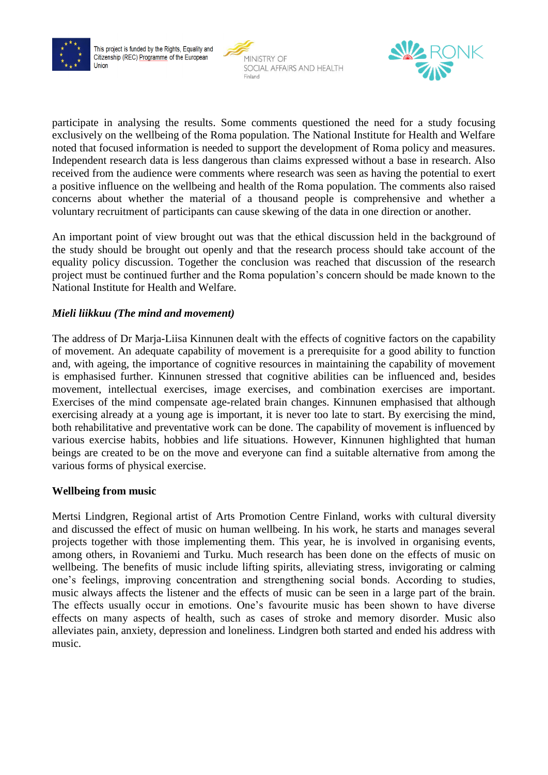





participate in analysing the results. Some comments questioned the need for a study focusing exclusively on the wellbeing of the Roma population. The National Institute for Health and Welfare noted that focused information is needed to support the development of Roma policy and measures. Independent research data is less dangerous than claims expressed without a base in research. Also received from the audience were comments where research was seen as having the potential to exert a positive influence on the wellbeing and health of the Roma population. The comments also raised concerns about whether the material of a thousand people is comprehensive and whether a voluntary recruitment of participants can cause skewing of the data in one direction or another.

An important point of view brought out was that the ethical discussion held in the background of the study should be brought out openly and that the research process should take account of the equality policy discussion. Together the conclusion was reached that discussion of the research project must be continued further and the Roma population's concern should be made known to the National Institute for Health and Welfare.

# *Mieli liikkuu (The mind and movement)*

The address of Dr Marja-Liisa Kinnunen dealt with the effects of cognitive factors on the capability of movement. An adequate capability of movement is a prerequisite for a good ability to function and, with ageing, the importance of cognitive resources in maintaining the capability of movement is emphasised further. Kinnunen stressed that cognitive abilities can be influenced and, besides movement, intellectual exercises, image exercises, and combination exercises are important. Exercises of the mind compensate age-related brain changes. Kinnunen emphasised that although exercising already at a young age is important, it is never too late to start. By exercising the mind, both rehabilitative and preventative work can be done. The capability of movement is influenced by various exercise habits, hobbies and life situations. However, Kinnunen highlighted that human beings are created to be on the move and everyone can find a suitable alternative from among the various forms of physical exercise.

### **Wellbeing from music**

Mertsi Lindgren, Regional artist of Arts Promotion Centre Finland, works with cultural diversity and discussed the effect of music on human wellbeing. In his work, he starts and manages several projects together with those implementing them. This year, he is involved in organising events, among others, in Rovaniemi and Turku. Much research has been done on the effects of music on wellbeing. The benefits of music include lifting spirits, alleviating stress, invigorating or calming one's feelings, improving concentration and strengthening social bonds. According to studies, music always affects the listener and the effects of music can be seen in a large part of the brain. The effects usually occur in emotions. One's favourite music has been shown to have diverse effects on many aspects of health, such as cases of stroke and memory disorder. Music also alleviates pain, anxiety, depression and loneliness. Lindgren both started and ended his address with music.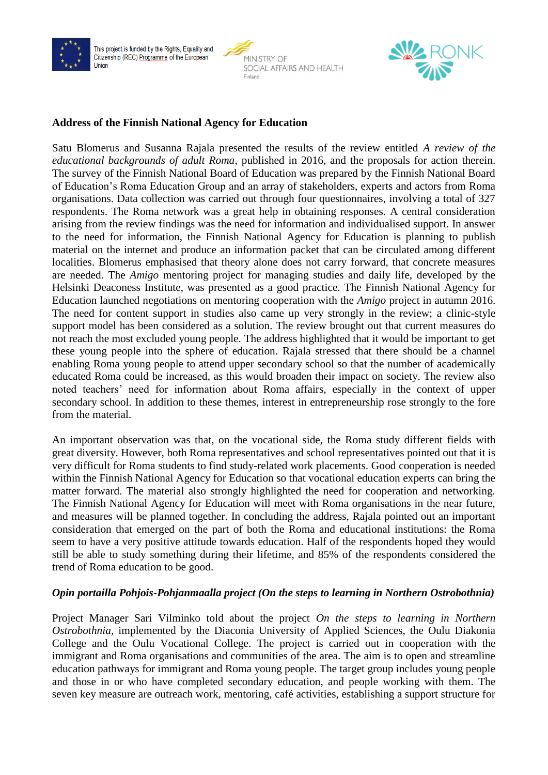

This project is funded by the Rights, Equality and Citizenship (REC) Programme of the European Union





#### **Address of the Finnish National Agency for Education**

Satu Blomerus and Susanna Rajala presented the results of the review entitled *A review of the educational backgrounds of adult Roma*, published in 2016, and the proposals for action therein. The survey of the Finnish National Board of Education was prepared by the Finnish National Board of Education's Roma Education Group and an array of stakeholders, experts and actors from Roma organisations. Data collection was carried out through four questionnaires, involving a total of 327 respondents. The Roma network was a great help in obtaining responses. A central consideration arising from the review findings was the need for information and individualised support. In answer to the need for information, the Finnish National Agency for Education is planning to publish material on the internet and produce an information packet that can be circulated among different localities. Blomerus emphasised that theory alone does not carry forward, that concrete measures are needed. The *Amigo* mentoring project for managing studies and daily life, developed by the Helsinki Deaconess Institute, was presented as a good practice. The Finnish National Agency for Education launched negotiations on mentoring cooperation with the *Amigo* project in autumn 2016. The need for content support in studies also came up very strongly in the review; a clinic-style support model has been considered as a solution. The review brought out that current measures do not reach the most excluded young people. The address highlighted that it would be important to get these young people into the sphere of education. Rajala stressed that there should be a channel enabling Roma young people to attend upper secondary school so that the number of academically educated Roma could be increased, as this would broaden their impact on society. The review also noted teachers' need for information about Roma affairs, especially in the context of upper secondary school. In addition to these themes, interest in entrepreneurship rose strongly to the fore from the material.

An important observation was that, on the vocational side, the Roma study different fields with great diversity. However, both Roma representatives and school representatives pointed out that it is very difficult for Roma students to find study-related work placements. Good cooperation is needed within the Finnish National Agency for Education so that vocational education experts can bring the matter forward. The material also strongly highlighted the need for cooperation and networking. The Finnish National Agency for Education will meet with Roma organisations in the near future, and measures will be planned together. In concluding the address, Rajala pointed out an important consideration that emerged on the part of both the Roma and educational institutions: the Roma seem to have a very positive attitude towards education. Half of the respondents hoped they would still be able to study something during their lifetime, and 85% of the respondents considered the trend of Roma education to be good.

### *Opin portailla Pohjois-Pohjanmaalla project (On the steps to learning in Northern Ostrobothnia)*

Project Manager Sari Vilminko told about the project *On the steps to learning in Northern Ostrobothnia,* implemented by the Diaconia University of Applied Sciences, the Oulu Diakonia College and the Oulu Vocational College. The project is carried out in cooperation with the immigrant and Roma organisations and communities of the area. The aim is to open and streamline education pathways for immigrant and Roma young people. The target group includes young people and those in or who have completed secondary education, and people working with them. The seven key measure are outreach work, mentoring, café activities, establishing a support structure for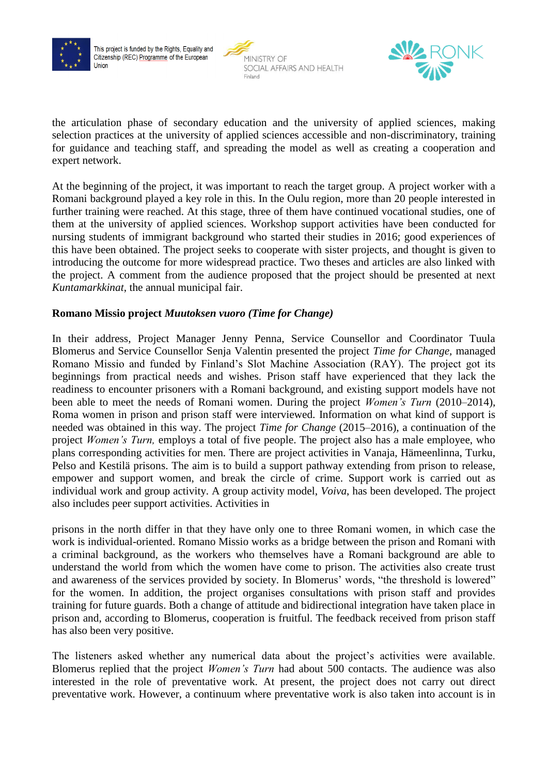





the articulation phase of secondary education and the university of applied sciences, making selection practices at the university of applied sciences accessible and non-discriminatory, training for guidance and teaching staff, and spreading the model as well as creating a cooperation and expert network.

At the beginning of the project, it was important to reach the target group. A project worker with a Romani background played a key role in this. In the Oulu region, more than 20 people interested in further training were reached. At this stage, three of them have continued vocational studies, one of them at the university of applied sciences. Workshop support activities have been conducted for nursing students of immigrant background who started their studies in 2016; good experiences of this have been obtained. The project seeks to cooperate with sister projects, and thought is given to introducing the outcome for more widespread practice. Two theses and articles are also linked with the project. A comment from the audience proposed that the project should be presented at next *Kuntamarkkinat*, the annual municipal fair.

### **Romano Missio project** *Muutoksen vuoro (Time for Change)*

In their address, Project Manager Jenny Penna, Service Counsellor and Coordinator Tuula Blomerus and Service Counsellor Senja Valentin presented the project *Time for Change,* managed Romano Missio and funded by Finland's Slot Machine Association (RAY). The project got its beginnings from practical needs and wishes. Prison staff have experienced that they lack the readiness to encounter prisoners with a Romani background, and existing support models have not been able to meet the needs of Romani women. During the project *Women's Turn* (2010–2014), Roma women in prison and prison staff were interviewed. Information on what kind of support is needed was obtained in this way. The project *Time for Change* (2015–2016), a continuation of the project *Women's Turn,* employs a total of five people. The project also has a male employee, who plans corresponding activities for men. There are project activities in Vanaja, Hämeenlinna, Turku, Pelso and Kestilä prisons. The aim is to build a support pathway extending from prison to release, empower and support women, and break the circle of crime. Support work is carried out as individual work and group activity. A group activity model, *Voiva*, has been developed. The project also includes peer support activities. Activities in

prisons in the north differ in that they have only one to three Romani women, in which case the work is individual-oriented. Romano Missio works as a bridge between the prison and Romani with a criminal background, as the workers who themselves have a Romani background are able to understand the world from which the women have come to prison. The activities also create trust and awareness of the services provided by society. In Blomerus' words, "the threshold is lowered" for the women. In addition, the project organises consultations with prison staff and provides training for future guards. Both a change of attitude and bidirectional integration have taken place in prison and, according to Blomerus, cooperation is fruitful. The feedback received from prison staff has also been very positive.

The listeners asked whether any numerical data about the project's activities were available. Blomerus replied that the project *Women's Turn* had about 500 contacts. The audience was also interested in the role of preventative work. At present, the project does not carry out direct preventative work. However, a continuum where preventative work is also taken into account is in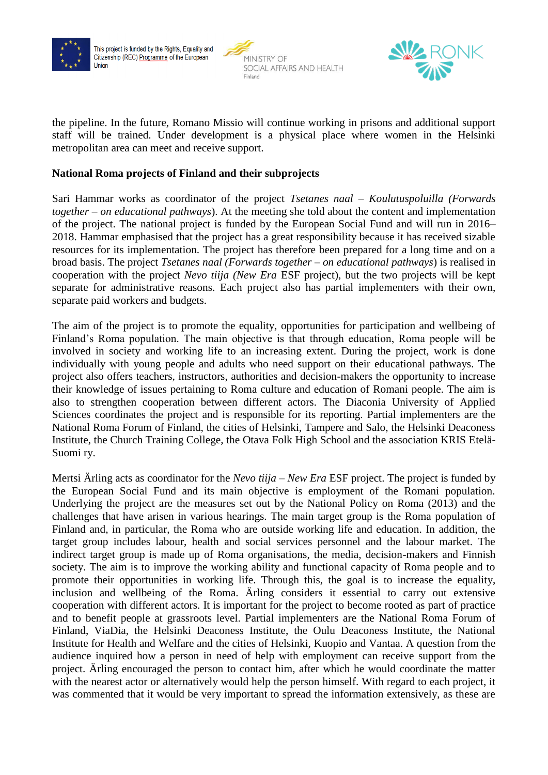





the pipeline. In the future, Romano Missio will continue working in prisons and additional support staff will be trained. Under development is a physical place where women in the Helsinki metropolitan area can meet and receive support.

### **National Roma projects of Finland and their subprojects**

Sari Hammar works as coordinator of the project *Tsetanes naal – Koulutuspoluilla (Forwards together – on educational pathways*). At the meeting she told about the content and implementation of the project. The national project is funded by the European Social Fund and will run in 2016– 2018. Hammar emphasised that the project has a great responsibility because it has received sizable resources for its implementation. The project has therefore been prepared for a long time and on a broad basis. The project *Tsetanes naal (Forwards together – on educational pathways*) is realised in cooperation with the project *Nevo tiija (New Era* ESF project), but the two projects will be kept separate for administrative reasons. Each project also has partial implementers with their own, separate paid workers and budgets.

The aim of the project is to promote the equality, opportunities for participation and wellbeing of Finland's Roma population. The main objective is that through education, Roma people will be involved in society and working life to an increasing extent. During the project, work is done individually with young people and adults who need support on their educational pathways. The project also offers teachers, instructors, authorities and decision-makers the opportunity to increase their knowledge of issues pertaining to Roma culture and education of Romani people. The aim is also to strengthen cooperation between different actors. The Diaconia University of Applied Sciences coordinates the project and is responsible for its reporting. Partial implementers are the National Roma Forum of Finland, the cities of Helsinki, Tampere and Salo, the Helsinki Deaconess Institute, the Church Training College, the Otava Folk High School and the association KRIS Etelä-Suomi ry.

Mertsi Ärling acts as coordinator for the *Nevo tiija* – *New Era* ESF project. The project is funded by the European Social Fund and its main objective is employment of the Romani population. Underlying the project are the measures set out by the National Policy on Roma (2013) and the challenges that have arisen in various hearings. The main target group is the Roma population of Finland and, in particular, the Roma who are outside working life and education. In addition, the target group includes labour, health and social services personnel and the labour market. The indirect target group is made up of Roma organisations, the media, decision-makers and Finnish society. The aim is to improve the working ability and functional capacity of Roma people and to promote their opportunities in working life. Through this, the goal is to increase the equality, inclusion and wellbeing of the Roma. Ärling considers it essential to carry out extensive cooperation with different actors. It is important for the project to become rooted as part of practice and to benefit people at grassroots level. Partial implementers are the National Roma Forum of Finland, ViaDia, the Helsinki Deaconess Institute, the Oulu Deaconess Institute, the National Institute for Health and Welfare and the cities of Helsinki, Kuopio and Vantaa. A question from the audience inquired how a person in need of help with employment can receive support from the project. Ärling encouraged the person to contact him, after which he would coordinate the matter with the nearest actor or alternatively would help the person himself. With regard to each project, it was commented that it would be very important to spread the information extensively, as these are